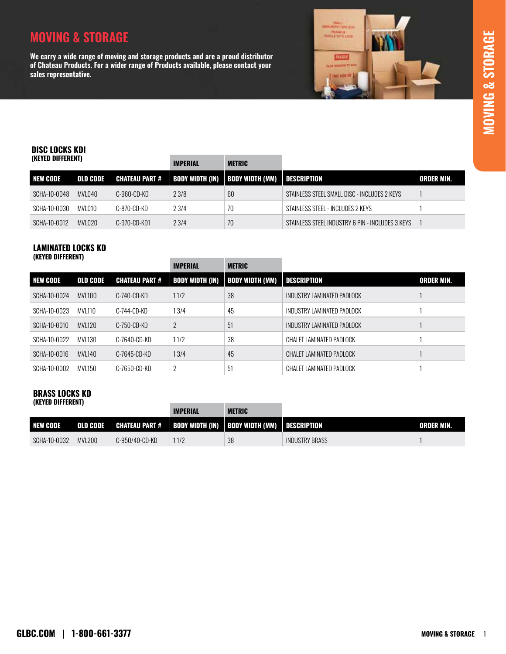# **MOVING & STORAGE MOVING & STORAGE**

## **MOVING & STORAGE**

**We carry a wide range of moving and storage products and are a proud distributor of Chateau Products. For a wider range of Products available, please contact your sales representative.** 



## DISC LOCKS KDI

| (KEYED DIFFERENT) |          | <b>IMPERIAL</b>       | <b>METRIC</b> |                                                 |                                                  |                   |
|-------------------|----------|-----------------------|---------------|-------------------------------------------------|--------------------------------------------------|-------------------|
| NEW CODE          | OLD CODE | <b>CHATEAU PART #</b> |               | BODY WIDTH (IN)   BODY WIDTH (MM)   DESCRIPTION |                                                  | <b>ORDER MIN.</b> |
| SCHA-10-0048      | MVL040   | C-960-CD-KD           | 23/8          | 60                                              | STAINLESS STEEL SMALL DISC - INCLUDES 2 KEYS     |                   |
| SCHA-10-0030      | MVL010   | C-870-CD-KD           | 23/4          | 70                                              | STAINLESS STEEL - INCLUDES 2 KEYS                |                   |
| SCHA-10-0012      | MVLO2O   | C-970-CD-KD1          | 23/4          | 70                                              | STAINLESS STEEL INDUSTRY 6 PIN - INCLUDES 3 KEYS |                   |

#### LAMINATED LOCKS KD (KEYED DIFFERENT)

|                 |                 |                       | <b>IMPERIAL</b> | <b>METRIC</b>                            |                            |                   |
|-----------------|-----------------|-----------------------|-----------------|------------------------------------------|----------------------------|-------------------|
| <b>NEW CODE</b> | <b>OLD CODE</b> | <b>CHATEAU PART #</b> |                 | <b>BODY WIDTH (IN)   BODY WIDTH (MM)</b> | <b>DESCRIPTION</b>         | <b>ORDER MIN.</b> |
| SCHA-10-0024    | <b>MVL100</b>   | C-740-CD-KD           | 11/2            | 38                                       | INDUSTRY LAMINATED PADLOCK |                   |
| SCHA-10-0023    | MVI 110         | $C-744-CD-KD$         | 13/4            | 45                                       | INDUSTRY LAMINATED PADLOCK |                   |
| SCHA-10-0010    | <b>MVL120</b>   | C-750-CD-KD           | $\overline{2}$  | 51                                       | INDUSTRY LAMINATED PADLOCK |                   |
| SCHA-10-0022    | MVL130          | C-7640-CD-KD          | 11/2            | 38                                       | CHALET LAMINATED PADLOCK   |                   |
| SCHA-10-0016    | MVL140          | C-7645-CD-KD          | 13/4            | 45                                       | CHALET LAMINATED PADLOCK   |                   |
| SCHA-10-0002    | MVL150          | C-7650-CD-KD          | $\overline{2}$  | 51                                       | CHALET LAMINATED PADLOCK   |                   |

#### BRASS LOCKS KD (KEYED DIFFERENT)

|                 |                 |                | <b>IMPERIAL</b> | <b>METRIC</b>                                                    |                       |            |
|-----------------|-----------------|----------------|-----------------|------------------------------------------------------------------|-----------------------|------------|
| <b>NEW CODE</b> | <b>OLD CODE</b> |                |                 | CHATEAU PART #   BODY WIDTH (IN)   BODY WIDTH (MM)   DESCRIPTION |                       | ORDER MIN. |
| SCHA-10-0032    | <b>MVL200</b>   | C-950/40-CD-KD | 1/2             | 38                                                               | <b>INDUSTRY BRASS</b> |            |

the control of the control of the control of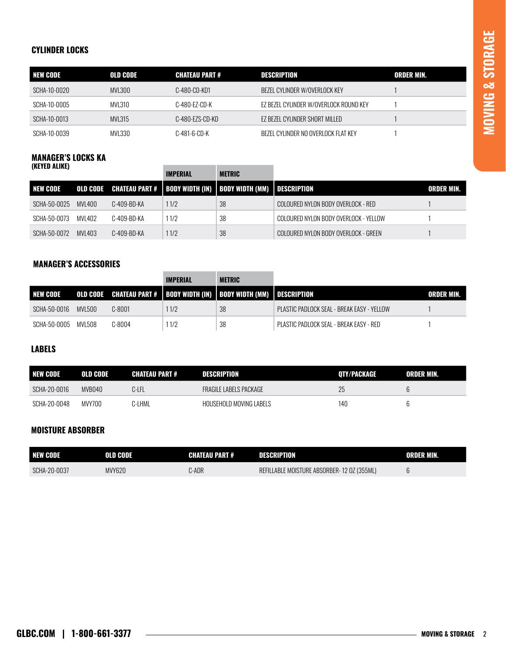$\overline{\phantom{a}}$ 

#### CYLINDER LOCKS

| <b>NEW CODE</b> | OLD CODE | . CHATEAU PART # | DESCRIPTION                            | ORDER MIN. |
|-----------------|----------|------------------|----------------------------------------|------------|
| SCHA-10-0020    | MVI 300  | C-480-CD-KD1     | BEZEL CYLINDER W/OVERLOCK KEY          |            |
| SCHA-10-0005    | MVL310   | C-480-F7-CD-K    | EZ BEZEL CYLINDER W/OVERLOCK ROUND KEY |            |
| SCHA-10-0013    | MVL315   | C-480-EZS-CD-KD  | EZ BEZEL CYLINDER SHORT MILLED         |            |
| SCHA-10-0039    | MVL330   | C-481-6-CD-K     | BEZEL CYLINDER NO OVERLOCK FLAT KEY    |            |

the control of the control of the control of

#### MANAGER'S LOCKS KA (KEYED ALIKE)

|                 |         |             | <b>IMPERIAL</b> | METRIC                                                                    |                                       |            |
|-----------------|---------|-------------|-----------------|---------------------------------------------------------------------------|---------------------------------------|------------|
| <b>NEW CODE</b> |         |             |                 | OLD CODE CHATEAU PART #   BODY WIDTH (IN)   BODY WIDTH (MM)   DESCRIPTION |                                       | ORDER MIN. |
| SCHA-50-0025    | MVI 400 | C-409-BD-KA | 11/2            | 38                                                                        | COLOURED NYLON BODY OVERLOCK - RED    |            |
| SCHA-50-0073    | MVI 402 | C-409-BD-KA | 11/2            | 38                                                                        | COLOURED NYLON BODY OVERLOCK - YELLOW |            |
| SCHA-50-0072    | MVL403  | C-409-BD-KA | 11/2            | 38                                                                        | COLOURED NYLON BODY OVERLOCK - GREEN  |            |

#### MANAGER'S ACCESSORIES

|                 |         |        | <b>IMPERIAL</b> | <b>METRIC</b>                                                             |                                              |            |
|-----------------|---------|--------|-----------------|---------------------------------------------------------------------------|----------------------------------------------|------------|
| <b>NEW CODE</b> |         |        |                 | OLD CODE CHATEAU PART #   BODY WIDTH (IN)   BODY WIDTH (MM)   DESCRIPTION |                                              | ORDER MIN. |
| SCHA-50-0016    | MVI 500 | C-8001 | 11/2            | 38                                                                        | - PLASTIC PADLOCK SEAL - BREAK EASY - YELLOW |            |
| SCHA-50-0005    | MVL508  | C-8004 | 11/2            | 38                                                                        | PLASTIC PADLOCK SEAL - BREAK EASY - RED      |            |

#### LABELS

| <b>NEW CODE</b> | OLD CODE | <b>CHATEAU PART #</b> | <b>DESCRIPTION</b>            | OTY/PACKAGE | ORDER MIN. |
|-----------------|----------|-----------------------|-------------------------------|-------------|------------|
| SCHA-20-0016    | MVB040   | C-LFL                 | <b>FRAGILE LABELS PACKAGE</b> | 25          |            |
| SCHA-20-0048    | MVY700   | C-LHML                | HOUSEHOLD MOVING LABELS       | 140         |            |

#### MOISTURE ABSORBER

| <b>NEW CODE</b> | OLD CODE | <b>CHATEAU PART #</b> | DESCRIPTION                                 | ORDER MIN. |
|-----------------|----------|-----------------------|---------------------------------------------|------------|
| SCHA-20-0037    | MVY620   | :-ADR                 | REFILLABLE MOISTURE ABSORBER- 12 OZ (355ML) |            |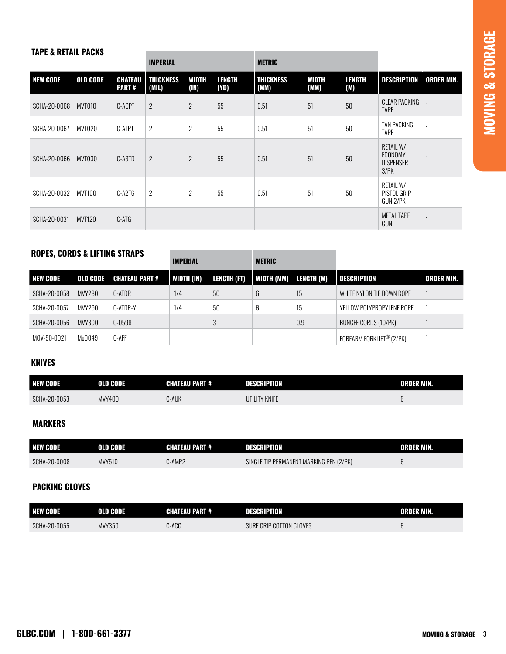#### TAPE & RETAIL PACKS

|                 |                 |                                | <b>IMPERIAL</b>           |                |                | <b>METRIC</b>            |               |               |                                                               |                   |
|-----------------|-----------------|--------------------------------|---------------------------|----------------|----------------|--------------------------|---------------|---------------|---------------------------------------------------------------|-------------------|
| <b>NEW CODE</b> | <b>OLD CODE</b> | <b>CHATEAU</b><br><b>PART#</b> | <b>THICKNESS</b><br>(MIL) | WIDTH<br>(1N)  | LENGTH<br>(YD) | <b>THICKNESS</b><br>(MM) | WIDTH<br>(MM) | LENGTH<br>(M) | DESCRIPTION                                                   | <b>ORDER MIN.</b> |
| SCHA-20-0068    | MVT010          | C-ACPT                         | $\overline{2}$            | $\overline{2}$ | 55             | 0.51                     | 51            | 50            | <b>CLEAR PACKING</b><br><b>TAPE</b>                           |                   |
| SCHA-20-0067    | MVT020          | C-ATPT                         | $\overline{2}$            | $\overline{2}$ | 55             | 0.51                     | 51            | 50            | <b>TAN PACKING</b><br>TAPE                                    |                   |
| SCHA-20-0066    | MVT030          | C-A3TD                         | $\overline{2}$            | $\overline{2}$ | 55             | 0.51                     | 51            | 50            | <b>RETAIL W/</b><br>ECONOMY<br><b>DISPENSER</b><br>$3$ / $PK$ |                   |
| SCHA-20-0032    | MVT100          | C-A2TG                         | $\overline{2}$            | $\overline{2}$ | 55             | 0.51                     | 51            | 50            | <b>RETAIL W/</b><br>PISTOL GRIP<br>GUN 2/PK                   |                   |
| SCHA-20-0031    | <b>MVT120</b>   | C-ATG                          |                           |                |                |                          |               |               | <b>METAL TAPE</b><br>GUN                                      |                   |

### ROPES, CORDS & LIFTING STRAPS

|              |          |                       | IMPERIAL   |             | <b>METRIC</b> |            |                           |                   |
|--------------|----------|-----------------------|------------|-------------|---------------|------------|---------------------------|-------------------|
| I NEW CODE   | OLD CODE | <b>CHATEAU PART #</b> | WIDTH (IN) | LENGTH (FT) | WIDTH (MM)    | LENGTH (M) | <b>DESCRIPTION</b>        | <b>ORDER MIN.</b> |
| SCHA-20-0058 | MVY280   | C-ATDR                | 1/4        | 50          | 6             | 15         | WHITE NYLON TIE DOWN ROPE |                   |
| SCHA-20-0057 | MVY290   | C-ATDR-Y              | 1/4        | 50          | 6             | 15         | YELLOW POLYPROPYLENE ROPE |                   |
| SCHA-20-0056 | MVY300   | $C-0598$              |            |             |               | 0.9        | BUNGEE CORDS (10/PK)      |                   |
| MOV-50-0021  | Mo0049   | C-AFF                 |            |             |               |            | FOREARM FORKLIFT® (2/PK)  |                   |

 $\mathbb{R}^n$ 

#### KNIVES

| NEW CODE     | OLD CODE | <b>CHATEAU PART #</b> | DESCRIPTION   | <b>ORDER MIN.</b> |
|--------------|----------|-----------------------|---------------|-------------------|
| SCHA-20-0053 | MVY400   | )-AUK                 | UTILITY KNIFE | u                 |

## MARKERS

| <b>NEW CODE</b> | OLD CODE      | <b>CHATEAU PART #</b> | DESCRIPTION                                     | ORDER MIN. |
|-----------------|---------------|-----------------------|-------------------------------------------------|------------|
| SCHA-20-0008    | <b>MVY510</b> | -AMP2                 | T MARKING PEN (2/PK)<br>TIP PERMANENT<br>SINGLE |            |

#### PACKING GLOVES

| <b>NEW O</b><br><b>DODE</b><br>GUVC | <b>OLD CODE</b> | <b>CHATEAU PART #</b> | DESCRIPTION                          | <b>ORDER MIN.</b> |
|-------------------------------------|-----------------|-----------------------|--------------------------------------|-------------------|
| $-20-0055$<br>SCHA-                 | MVY350          | -ACG د                | <b>COTTON GLOVES</b><br>GRIP<br>sure | ັ                 |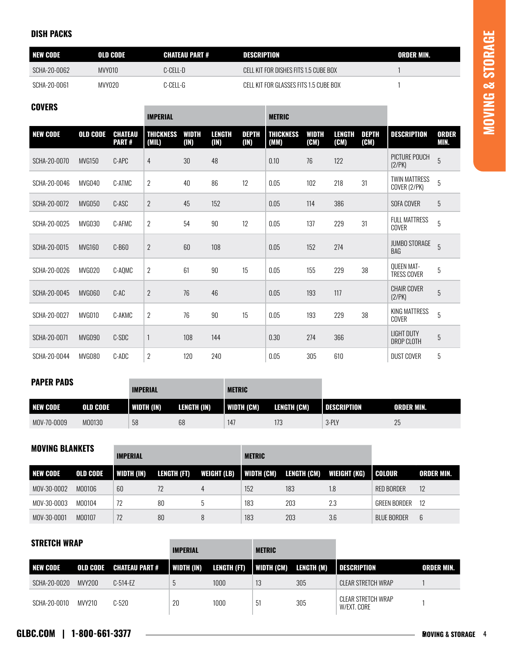#### DISH PACKS

| <b>INEW CODE</b> | OLD CODE      | <b>CHATEAU PART #</b> | DESCRIPTION                             | ORDER MIN. |
|------------------|---------------|-----------------------|-----------------------------------------|------------|
| SCHA-20-0062     | <b>MVY010</b> | C-CELL-D              | CELL KIT FOR DISHES FITS 1.5 CUBE BOX   |            |
| SCHA-20-0061     | MVY020        | C-CELL-G              | CELL KIT FOR GLASSES FITS 1.5 CLIBE BOX |            |

п

## **COVERS**

|                 |                 |                                | <b>IMPERIAL</b>           |                      |                |                      | <b>METRIC</b>            |                      |                       |                      |                                      |                      |
|-----------------|-----------------|--------------------------------|---------------------------|----------------------|----------------|----------------------|--------------------------|----------------------|-----------------------|----------------------|--------------------------------------|----------------------|
| <b>NEW CODE</b> | <b>OLD CODE</b> | <b>CHATEAU</b><br><b>PART#</b> | <b>THICKNESS</b><br>(MIL) | <b>WIDTH</b><br>(1N) | LENGTH<br>(1N) | <b>DEPTH</b><br>(1N) | <b>THICKNESS</b><br>(MM) | <b>WIDTH</b><br>(CM) | <b>LENGTH</b><br>(CM) | <b>DEPTH</b><br>(CM) | <b>DESCRIPTION</b>                   | <b>ORDER</b><br>MIN. |
| SCHA-20-0070    | <b>MVG150</b>   | C-APC                          | $\overline{4}$            | 30                   | 48             |                      | 0.10                     | 76                   | 122                   |                      | PICTURE POUCH<br>(2/PK)              | 5                    |
| SCHA-20-0046    | MVG040          | C-ATMC                         | $\overline{2}$            | 40                   | 86             | 12                   | 0.05                     | 102                  | 218                   | 31                   | <b>TWIN MATTRESS</b><br>COVER (2/PK) | 5                    |
| SCHA-20-0072    | <b>MVG050</b>   | C-ASC                          | $\overline{2}$            | 45                   | 152            |                      | 0.05                     | 114                  | 386                   |                      | SOFA COVER                           | $\overline{5}$       |
| SCHA-20-0025    | MVG030          | C-AFMC                         | $\overline{2}$            | 54                   | 90             | 12                   | 0.05                     | 137                  | 229                   | 31                   | <b>FULL MATTRESS</b><br>COVER        | 5                    |
| SCHA-20-0015    | <b>MVG160</b>   | $C-B60$                        | $\overline{2}$            | 60                   | 108            |                      | 0.05                     | 152                  | 274                   |                      | <b>JUMBO STORAGE</b><br>BAG          | 5                    |
| SCHA-20-0026    | MVG020          | C-AQMC                         | $\overline{2}$            | 61                   | 90             | 15                   | 0.05                     | 155                  | 229                   | 38                   | QUEEN MAT-<br>TRESS COVER            | 5                    |
| SCHA-20-0045    | MVG060          | $C-AC$                         | $\overline{2}$            | 76                   | 46             |                      | 0.05                     | 193                  | 117                   |                      | <b>CHAIR COVER</b><br>(2/PK)         | 5                    |
| SCHA-20-0027    | MVG010          | C-AKMC                         | $\overline{2}$            | 76                   | 90             | 15                   | 0.05                     | 193                  | 229                   | 38                   | KING MATTRESS<br>COVER               | 5                    |
| SCHA-20-0071    | <b>MVG090</b>   | C-SDC                          | $\mathbf{1}$              | 108                  | 144            |                      | 0.30                     | 274                  | 366                   |                      | <b>LIGHT DUTY</b><br>DROP CLOTH      | 5                    |
| SCHA-20-0044    | <b>MVG080</b>   | C-ADC                          | $\overline{2}$            | 120                  | 240            |                      | 0.05                     | 305                  | 610                   |                      | <b>DUST COVER</b>                    | 5                    |

#### PAPER PADS

| . <i>.</i>       |                 | <b>IMPERIAL</b> |             | <b>METRIC</b> |             |                      |                    |
|------------------|-----------------|-----------------|-------------|---------------|-------------|----------------------|--------------------|
| <b>INEW CODE</b> | <b>OLD CODE</b> | WIDTH (IN)      | LENGTH (IN) | WIDTH (CM)    | LENGTH (CM) | <b>I</b> DESCRIPTION | <b>LORDER MIN.</b> |
| MOV-70-0009      | M00130          | 58              | 68          | 14            |             | 3-PLY                | 25                 |

| <b>MOVING BLANKETS</b> |                 | <b>IMPERIAL</b> |             |             | <b>METRIC</b> |             |              |                     |                   |
|------------------------|-----------------|-----------------|-------------|-------------|---------------|-------------|--------------|---------------------|-------------------|
| <b>NEW CODE</b>        | <b>OLD CODE</b> | WIDTH (IN)      | LENGTH (FT) | WEIGHT (LB) | WIDTH (CM)    | LENGTH (CM) | WIEIGHT (KG) | I COLOUR            | <b>ORDER MIN.</b> |
| MOV-30-0002            | M00106          | 60              | 72          | 4           | 152           | 183         | 1.8          | <b>RED BORDER</b>   | 12                |
| MOV-30-0003            | M00104          | 72              | 80          |             | 183           | 203         | 2.3          | <b>GREEN BORDER</b> | 12                |
| MOV-30-0001            | M00107          | 72              | 80          |             | 183           | 203         | 3.6          | <b>BLUE BORDER</b>  | 6                 |

### STRETCH WRAP

|              |        |                         | <b>IMPERIAL</b> |             | <b>METRIC</b> |            |                                   |            |
|--------------|--------|-------------------------|-----------------|-------------|---------------|------------|-----------------------------------|------------|
| I NEW CODE   |        | OLD CODE CHATEAU PART # | WIDTH (IN)      | LENGTH (FT) | I WIDTH (CM)  | LENGTH (M) | <b>I</b> DESCRIPTION              | ORDER MIN. |
| SCHA-20-0020 | MVY200 | $C-514-EZ$              |                 | 1000        | 13            | 305        | CLEAR STRETCH WRAP                |            |
| SCHA-20-0010 | MVY210 | $C-520$                 | 20              | 1000        | -51           | 305        | CLEAR STRETCH WRAP<br>W/EXT. CORE |            |

**The Committee Committee Committee**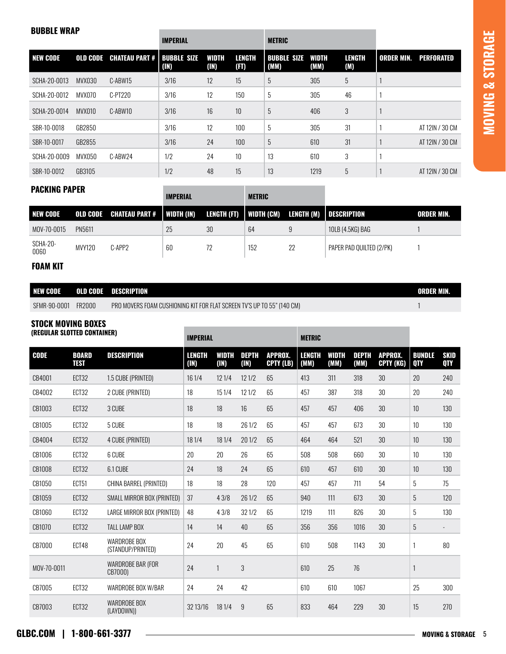# **MOVING & STORAGE MOVING & STORAGE**

#### BUBBLE WRAP

|                 |                 |                       | <b>IMPERIAL</b>            |               |                       | <b>METRIC</b>              |                      |                      |                   |                 |
|-----------------|-----------------|-----------------------|----------------------------|---------------|-----------------------|----------------------------|----------------------|----------------------|-------------------|-----------------|
| <b>NEW CODE</b> | <b>OLD CODE</b> | <b>CHATEAU PART #</b> | <b>BUBBLE SIZE</b><br>(1N) | WIDTH<br>(1N) | <b>LENGTH</b><br>(FT) | <b>BUBBLE SIZE</b><br>(MM) | <b>WIDTH</b><br>(MM) | <b>LENGTH</b><br>(M) | <b>ORDER MIN.</b> | PERFORATED      |
| SCHA-20-0013    | MVX030          | C-ABW15               | 3/16                       | 12            | 15                    | 5                          | 305                  | 5                    |                   |                 |
| SCHA-20-0012    | MVX070          | C-PT220               | 3/16                       | 12            | 150                   | 5                          | 305                  | 46                   |                   |                 |
| SCHA-20-0014    | MVX010          | C-ABW10               | 3/16                       | 16            | 10                    | 5                          | 406                  | 3                    |                   |                 |
| SBR-10-0018     | GB2850          |                       | 3/16                       | 12            | 100                   | 5                          | 305                  | 31                   |                   | AT 12IN / 30 CM |
| SBR-10-0017     | GB2855          |                       | 3/16                       | 24            | 100                   | 5                          | 610                  | 31                   |                   | AT 12IN / 30 CM |
| SCHA-20-0009    | MVX050          | C-ABW24               | 1/2                        | 24            | 10                    | 13                         | 610                  | 3                    |                   |                 |
| SBR-10-0012     | GB3105          |                       | 1/2                        | 48            | 15                    | 13                         | 1219                 | 5                    |                   | AT 12IN / 30 CM |

#### PACKING PAPER

|                  |                                      |        | <b>IMPERIAL</b> |    | <b>METRIC</b>                                     |    |                          |                   |  |
|------------------|--------------------------------------|--------|-----------------|----|---------------------------------------------------|----|--------------------------|-------------------|--|
| <b>NEW CODE</b>  | OLD CODE CHATEAU PART #   WIDTH (IN) |        |                 |    | LENGTH (FT)   WIDTH (CM) LENGTH (M)   DESCRIPTION |    |                          | <b>ORDER MIN.</b> |  |
| MOV-70-0015      | PN5611                               |        | 25              | 30 | 64                                                | 9  | 10LB (4.5KG) BAG         |                   |  |
| SCHA-20-<br>0060 | <b>MVY120</b>                        | C-APP2 | 60              | 72 | 152                                               | 22 | PAPER PAD QUILTED (2/PK) |                   |  |

### FOAM KIT

| <b>NEW CODE</b> | <b>OLD CODE</b> | <b>DESCRIPTION</b>                                                     | ORDER MIN. |
|-----------------|-----------------|------------------------------------------------------------------------|------------|
| SFMR-90-0001    | FR2000          | PRO MOVERS FOAM CUSHIONING KIT FOR FLAT SCREEN TV'S UP TO 55" (140 CM) |            |

## STOCK MOVING BOXES

|             | (REGULAR SLOTTED CONTAINER) |                                          |                       | <b>IMPERIAL</b> |                      |                             |                       | <b>METRIC</b>        |                      |                             |                             |                    |
|-------------|-----------------------------|------------------------------------------|-----------------------|-----------------|----------------------|-----------------------------|-----------------------|----------------------|----------------------|-----------------------------|-----------------------------|--------------------|
| <b>CODE</b> | <b>BOARD</b><br><b>TEST</b> | <b>DESCRIPTION</b>                       | <b>LENGTH</b><br>(1N) | WIDTH<br>(1N)   | <b>DEPTH</b><br>(1N) | <b>APPROX.</b><br>CPTY (LB) | <b>LENGTH</b><br>(MM) | <b>WIDTH</b><br>(MM) | <b>DEPTH</b><br>(MM) | <b>APPROX.</b><br>CPTY (KG) | <b>BUNDLE</b><br><b>QTY</b> | <b>SKID</b><br>QTY |
| CB4001      | ECT32                       | 1.5 CUBE (PRINTED)                       | 16 1/4                | 12 1/4          | 121/2                | 65                          | 413                   | 311                  | 318                  | 30                          | 20                          | 240                |
| CB4002      | ECT32                       | 2 CUBE (PRINTED)                         | 18                    | 151/4           | 121/2                | 65                          | 457                   | 387                  | 318                  | 30                          | 20                          | 240                |
| CB1003      | ECT32                       | 3 CUBE                                   | 18                    | 18              | 16                   | 65                          | 457                   | 457                  | 406                  | 30                          | 10                          | 130                |
| CB1005      | ECT32                       | 5 CUBE                                   | 18                    | 18              | 26 1/2               | 65                          | 457                   | 457                  | 673                  | 30                          | 10                          | 130                |
| CB4004      | ECT32                       | <b>4 CUBE (PRINTED)</b>                  | 18 1/4                | 18 1/4          | 201/2                | 65                          | 464                   | 464                  | 521                  | 30                          | 10                          | 130                |
| CB1006      | ECT32                       | 6 CUBE                                   | 20                    | 20              | 26                   | 65                          | 508                   | 508                  | 660                  | 30                          | 10                          | 130                |
| CB1008      | ECT32                       | 6.1 CUBE                                 | 24                    | 18              | 24                   | 65                          | 610                   | 457                  | 610                  | 30                          | 10                          | 130                |
| CB1050      | <b>ECT51</b>                | CHINA BARREL (PRINTED)                   | 18                    | 18              | 28                   | 120                         | 457                   | 457                  | 711                  | 54                          | 5                           | 75                 |
| CB1059      | ECT32                       | SMALL MIRROR BOX (PRINTED)               | 37                    | 43/8            | 26 1/2               | 65                          | 940                   | 111                  | 673                  | 30                          | 5                           | 120                |
| CB1060      | ECT32                       | LARGE MIRROR BOX (PRINTED)               | 48                    | 43/8            | 321/2                | 65                          | 1219                  | 111                  | 826                  | 30                          | 5                           | 130                |
| CB1070      | ECT32                       | <b>TALL LAMP BOX</b>                     | 14                    | 14              | 40                   | 65                          | 356                   | 356                  | 1016                 | 30                          | $5\overline{)}$             |                    |
| CB7000      | ECT48                       | <b>WARDROBE BOX</b><br>(STANDUP/PRINTED) | 24                    | 20              | 45                   | 65                          | 610                   | 508                  | 1143                 | 30                          |                             | 80                 |
| MOV-70-0011 |                             | WARDROBE BAR (FOR<br>CB7000)             | 24                    | $\mathbf{1}$    | 3                    |                             | 610                   | 25                   | 76                   |                             | 1                           |                    |
| CB7005      | ECT32                       | WARDROBE BOX W/BAR                       | 24                    | 24              | 42                   |                             | 610                   | 610                  | 1067                 |                             | 25                          | 300                |
| CB7003      | ECT32                       | WARDROBE BOX<br>(LAYDOWN))               | 32 13/16              | 18 1/4          | 9                    | 65                          | 833                   | 464                  | 229                  | 30                          | 15                          | 270                |